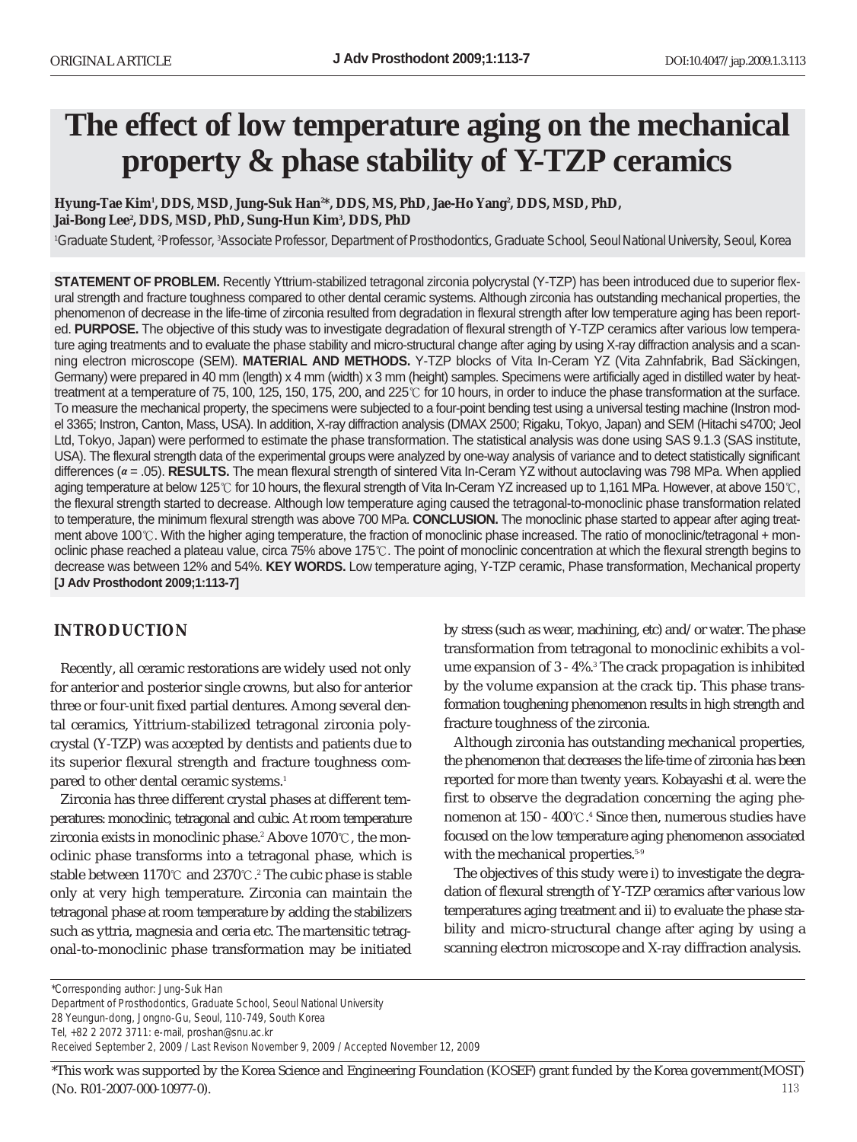# **The effect of low temperature aging on the mechanical property & phase stability of Y-TZP ceramics**

Hyung-Tae Kim', DDS, MSD, Jung-Suk Han<sup>2\*</sup>, DDS, MS, PhD, Jae-Ho Yang<sup>2</sup>, DDS, MSD, PhD, Jai-Bong Lee², DDS, MSD, PhD, Sung-Hun Kim<sup>3</sup>, DDS, PhD

<sup>1</sup> Graduate Student, <sup>2</sup> Professor, <sup>3</sup> Associate Professor, Department of Prosthodontics, Graduate School, Seoul National University, Seoul, Korea

**STATEMENT OF PROBLEM.** Recently Yttrium-stabilized tetragonal zirconia polycrystal (Y-TZP) has been introduced due to superior flexural strength and fracture toughness compared to other dental ceramic systems. Although zirconia has outstanding mechanical properties, the phenomenon of decrease in the life-time of zirconia resulted from degradation in flexural strength after low temperature aging has been reported. **PURPOSE.** The objective of this study was to investigate degradation of flexural strength of Y-TZP ceramics after various low temperature aging treatments and to evaluate the phase stability and micro-structural change after aging by using X-ray diffraction analysis and a scanning electron microscope (SEM). **MATERIAL AND METHODS.** Y-TZP blocks of Vita In-Ceram YZ (Vita Zahnfabrik, Bad Säckingen, Germany) were prepared in 40 mm (length) x 4 mm (width) x 3 mm (height) samples. Specimens were artificially aged in distilled water by heattreatment at a temperature of 75, 100, 125, 150, 175, 200, and 225°C for 10 hours, in order to induce the phase transformation at the surface. To measure the mechanical property, the specimens were subjected to a four-point bending test using a universal testing machine (Instron model 3365; Instron, Canton, Mass, USA). In addition, X-ray diffraction analysis (DMAX 2500; Rigaku, Tokyo, Japan) and SEM (Hitachi s4700; Jeol Ltd, Tokyo, Japan) were performed to estimate the phase transformation. The statistical analysis was done using SAS 9.1.3 (SAS institute, USA). The flexural strength data of the experimental groups were analyzed by one-way analysis of variance and to detect statistically significant differences ( $\alpha$  = .05). **RESULTS.** The mean flexural strength of sintered Vita In-Ceram YZ without autoclaving was 798 MPa. When applied aging temperature at below 125 $\degree$  for 10 hours, the flexural strength of Vita In-Ceram YZ increased up to 1,161 MPa. However, at above 150 $\degree$ C, the flexural strength started to decrease. Although low temperature aging caused the tetragonal-to-monoclinic phase transformation related to temperature, the minimum flexural strength was above 700 MPa. **CONCLUSION.** The monoclinic phase started to appear after aging treatment above 100 $\degree$ . With the higher aging temperature, the fraction of monoclinic phase increased. The ratio of monoclinic/tetragonal + monoclinic phase reached a plateau value, circa 75% above 175 $\degree$ . The point of monoclinic concentration at which the flexural strength begins to decrease was between 12% and 54%. **KEY WORDS.** Low temperature aging, Y-TZP ceramic, Phase transformation, Mechanical property **[J Adv Prosthodont 2009;1:113-7]**

## **INTRODUCTION**

Recently, all ceramic restorations are widely used not only for anterior and posterior single crowns, but also for anterior three or four-unit fixed partial dentures. Among several dental ceramics, Yittrium-stabilized tetragonal zirconia polycrystal (Y-TZP) was accepted by dentists and patients due to its superior flexural strength and fracture toughness compared to other dental ceramic systems.<sup>1</sup>

Zirconia has three different crystal phases at different temperatures: monoclinic, tetragonal and cubic. At room temperature zirconia exists in monoclinic phase.<sup>2</sup> Above 1070 °C, the monoclinic phase transforms into a tetragonal phase, which is stable between 1170  $\mathbb C$  and 2370  $\mathbb C$ . $^{\textrm{z}}$  The cubic phase is stable only at very high temperature. Zirconia can maintain the tetragonal phase at room temperature by adding the stabilizers such as yttria, magnesia and ceria etc. The martensitic tetragonal-to-monoclinic phase transformation may be initiated by stress (such as wear, machining, etc) and/or water. The phase transformation from tetragonal to monoclinic exhibits a volume expansion of 3 - 4%.3 The crack propagation is inhibited by the volume expansion at the crack tip. This phase transformation toughening phenomenon results in high strength and fracture toughness of the zirconia.

Although zirconia has outstanding mechanical properties, the phenomenon that decreases the life-time of zirconia has been reported for more than twenty years. Kobayashi *et al*. were the first to observe the degradation concerning the aging phenomenon at 150 - 400  $\mathbb{C}.^4$  Since then, numerous studies have focused on the low temperature aging phenomenon associated with the mechanical properties.<sup>5-9</sup>

The objectives of this study were i) to investigate the degradation of flexural strength of Y-TZP ceramics after various low temperatures aging treatment and ii) to evaluate the phase stability and micro-structural change after aging by using a scanning electron microscope and X-ray diffraction analysis.

*\*Corresponding author: Jung-Suk Han Department of Prosthodontics, Graduate School, Seoul National University 28 Yeungun-dong, Jongno-Gu, Seoul, 110-749, South Korea Tel, +82 2 2072 3711: e-mail, proshan@snu.ac.kr Received September 2, 2009 / Last Revison November 9, 2009 / Accepted November 12, 2009*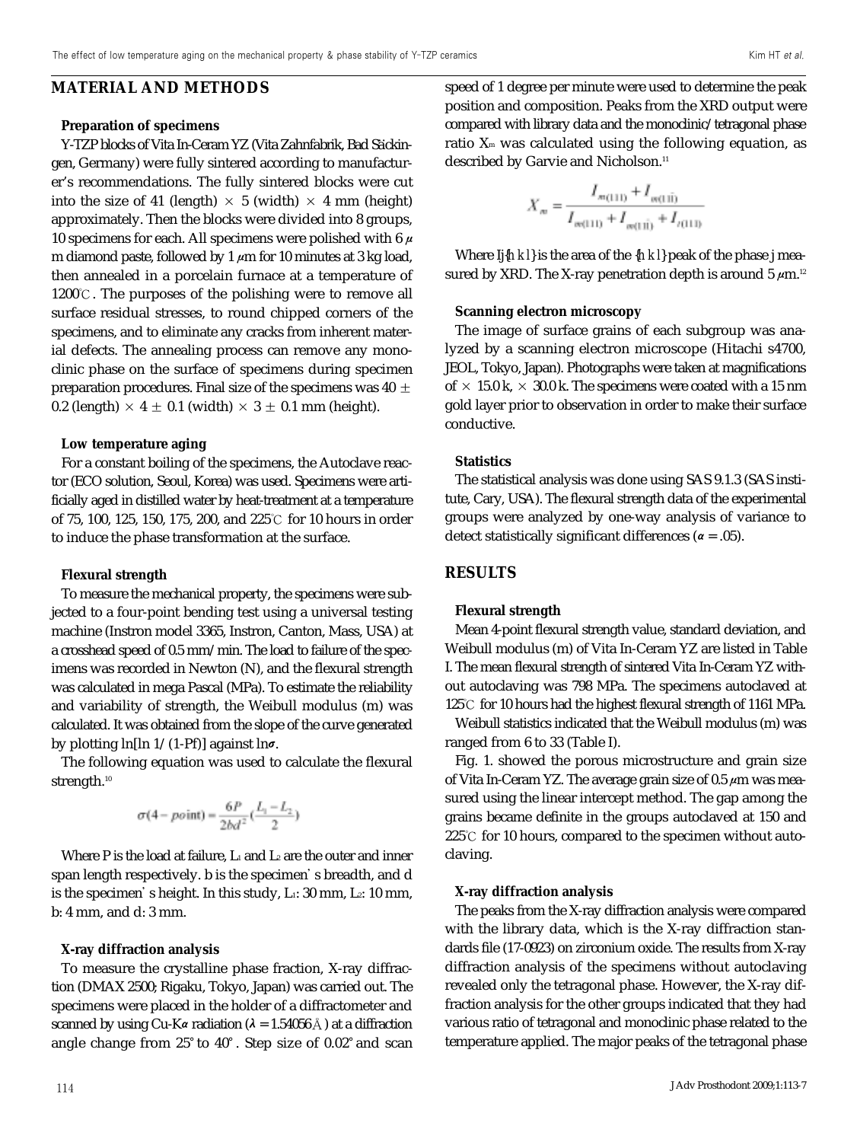## **MATERIAL AND METHODS**

#### **Preparation of specimens**

Y-TZP blocks of Vita In-Ceram YZ (Vita Zahnfabrik, Bad Säckingen, Germany) were fully sintered according to manufacturer's recommendations. The fully sintered blocks were cut into the size of 41 (length)  $\times$  5 (width)  $\times$  4 mm (height) approximately. Then the blocks were divided into 8 groups, 10 specimens for each. All specimens were polished with 6  $\mu$ m diamond paste, followed by 1  $\mu$ m for 10 minutes at 3 kg load, then annealed in a porcelain furnace at a temperature of 1200℃. The purposes of the polishing were to remove all surface residual stresses, to round chipped corners of the specimens, and to eliminate any cracks from inherent material defects. The annealing process can remove any monoclinic phase on the surface of specimens during specimen preparation procedures. Final size of the specimens was 40  $\pm$ 0.2 (length)  $\times$  4  $\pm$  0.1 (width)  $\times$  3  $\pm$  0.1 mm (height).

#### **Low temperature aging**

For a constant boiling of the specimens, the Autoclave reactor (ECO solution, Seoul, Korea) was used. Specimens were artificially aged in distilled water by heat-treatment at a temperature of 75, 100, 125, 150, 175, 200, and 225℃ for 10 hours in order to induce the phase transformation at the surface.

#### **Flexural strength**

To measure the mechanical property, the specimens were subjected to a four-point bending test using a universal testing machine (Instron model 3365, Instron, Canton, Mass, USA) at a crosshead speed of 0.5 mm/min. The load to failure of the specimens was recorded in Newton (N), and the flexural strength was calculated in mega Pascal (MPa). To estimate the reliability and variability of strength, the Weibull modulus (m) was calculated. It was obtained from the slope of the curve generated by plotting  $\ln[\ln 1/(1-Pf)]$  against  $\ln\sigma$ .

The following equation was used to calculate the flexural strength.<sup>10</sup>

$$
\sigma(4-point) = \frac{6P}{2bd^2}(\frac{L_1 - L_2}{2})
$$

Where P is the load at failure,  $L_1$  and  $L_2$  are the outer and inner span length respectively. b is the specimen's breadth, and d is the specimen's height. In this study,  $L_1$ : 30 mm,  $L_2$ : 10 mm, b: 4 mm, and d: 3 mm.

#### **X-ray diffraction analysis**

To measure the crystalline phase fraction, X-ray diffraction (DMAX 2500; Rigaku, Tokyo, Japan) was carried out. The specimens were placed in the holder of a diffractometer and scanned by using Cu-K $\alpha$  radiation ( $\lambda = 1.54056\text{ Å}$ ) at a diffraction angle change from 25° to 40°. Step size of 0.02° and scan speed of 1 degree per minute were used to determine the peak position and composition. Peaks from the XRD output were compared with library data and the monoclinic/tetragonal phase ratio  $X<sub>m</sub>$  was calculated using the following equation, as described by Garvie and Nicholson.<sup>11</sup>

$$
X_{\infty} = \frac{I_{m(111)} + I_{m(111)}}{I_{m(111)} + I_{m(111)} + I_{n(111)}}
$$

Where Ij{*h k l*} is the area of the {*h k l*} peak of the phase j measured by XRD. The X-ray penetration depth is around  $5 \mu m$ .<sup>12</sup>

#### **Scanning electron microscopy**

The image of surface grains of each subgroup was analyzed by a scanning electron microscope (Hitachi s4700, JEOL, Tokyo, Japan). Photographs were taken at magnifications of  $\times$  15.0 k,  $\times$  30.0 k. The specimens were coated with a 15 nm gold layer prior to observation in order to make their surface conductive.

#### **Statistics**

The statistical analysis was done using SAS 9.1.3 (SAS institute, Cary, USA). The flexural strength data of the experimental groups were analyzed by one-way analysis of variance to detect statistically significant differences ( $\alpha = .05$ ).

## **RESULTS**

#### **Flexural strength**

Mean 4-point flexural strength value, standard deviation, and Weibull modulus (m) of Vita In-Ceram YZ are listed in Table I. The mean flexural strength of sintered Vita In-Ceram YZ without autoclaving was 798 MPa. The specimens autoclaved at 125℃ for 10 hours had the highest flexural strength of 1161 MPa.

Weibull statistics indicated that the Weibull modulus (m) was ranged from 6 to 33 (Table I).

Fig. 1. showed the porous microstructure and grain size of Vita In-Ceram YZ. The average grain size of 0.5  $\mu$ m was measured using the linear intercept method. The gap among the grains became definite in the groups autoclaved at 150 and 225℃ for 10 hours, compared to the specimen without autoclaving.

## **X-ray diffraction analysis**

The peaks from the X-ray diffraction analysis were compared with the library data, which is the X-ray diffraction standards file (17-0923) on zirconium oxide. The results from X-ray diffraction analysis of the specimens without autoclaving revealed only the tetragonal phase. However, the X-ray diffraction analysis for the other groups indicated that they had various ratio of tetragonal and monoclinic phase related to the temperature applied. The major peaks of the tetragonal phase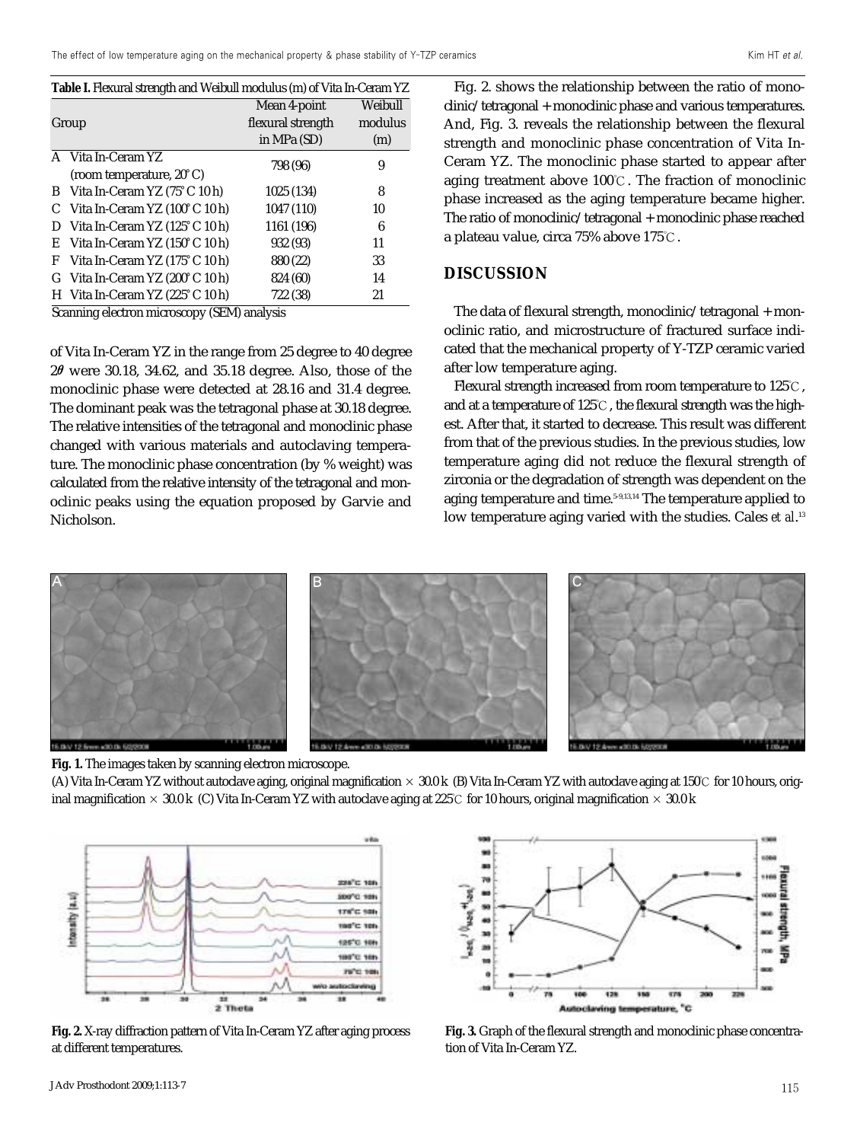| <b>Table I.</b> Flexural strength and Weibull modulus (m) of Vita In-Ceram YZ |  |         |  |
|-------------------------------------------------------------------------------|--|---------|--|
|                                                                               |  | _______ |  |

|       |                                                           | Mean 4-point      | Weibull |  |
|-------|-----------------------------------------------------------|-------------------|---------|--|
| Group |                                                           | flexural strength | modulus |  |
|       |                                                           | in MPa (SD)       | (m)     |  |
|       | A Vita In-Ceram YZ                                        | 798 (96)          | 9       |  |
|       | (room temperature, 20°C)                                  |                   |         |  |
| B     | Vita In-Ceram YZ (75°C 10 h)                              | 1025 (134)        | 8       |  |
|       | C Vita In-Ceram YZ $(100^{\circ}C 10 h)$                  | 1047 (110)        | 10      |  |
| D     | Vita In-Ceram YZ $(125^{\circ}C10h)$                      | 1161 (196)        | 6       |  |
| E     | Vita In-Ceram YZ $(150^{\circ} C 10 h)$                   | 932 (93)          | 11      |  |
| F     | Vita In-Ceram YZ (175°C 10 h)                             | 880 (22)          | 33      |  |
|       | G Vita In-Ceram YZ $(200^{\circ} \text{C } 10 \text{ h})$ | 824 (60)          | 14      |  |
|       | H Vita In-Ceram YZ (225°C 10 h)                           | 722 (38)          | 21      |  |

Scanning electron microscopy (SEM) analysis

of Vita In-Ceram YZ in the range from 25 degree to 40 degree  $2\theta$  were 30.18, 34.62, and 35.18 degree. Also, those of the monoclinic phase were detected at 28.16 and 31.4 degree. The dominant peak was the tetragonal phase at 30.18 degree. The relative intensities of the tetragonal and monoclinic phase changed with various materials and autoclaving temperature. The monoclinic phase concentration (by % weight) was calculated from the relative intensity of the tetragonal and monoclinic peaks using the equation proposed by Garvie and Nicholson.

Fig. 2. shows the relationship between the ratio of monoclinic/tetragonal + monoclinic phase and various temperatures. And, Fig. 3. reveals the relationship between the flexural strength and monoclinic phase concentration of Vita In-Ceram YZ. The monoclinic phase started to appear after aging treatment above 100℃. The fraction of monoclinic phase increased as the aging temperature became higher. The ratio of monoclinic/tetragonal + monoclinic phase reached a plateau value, circa 75% above 175℃.

## **DISCUSSION**

The data of flexural strength, monoclinic/tetragonal + monoclinic ratio, and microstructure of fractured surface indicated that the mechanical property of Y-TZP ceramic varied after low temperature aging.

Flexural strength increased from room temperature to 125℃, and at a temperature of 125℃, the flexural strength was the highest. After that, it started to decrease. This result was different from that of the previous studies. In the previous studies, low temperature aging did not reduce the flexural strength of zirconia or the degradation of strength was dependent on the aging temperature and time.<sup>5-9,13,14</sup> The temperature applied to low temperature aging varied with the studies. Cales *et al*. 13





(A) Vita In-Ceram YZ without autoclave aging, original magnification × 30.0 k (B) Vita In-Ceram YZ with autoclave aging at 150℃ for 10 hours, original magnification  $\times$  30.0 k (C) Vita In-Ceram YZ with autoclave aging at 225°C for 10 hours, original magnification  $\times$  30.0 k



**Fig. 2.** X-ray diffraction pattern of Vita In-Ceram YZ after aging process at different temperatures.



**Fig. 3.** Graph of the flexural strength and monoclinic phase concentration of Vita In-Ceram YZ.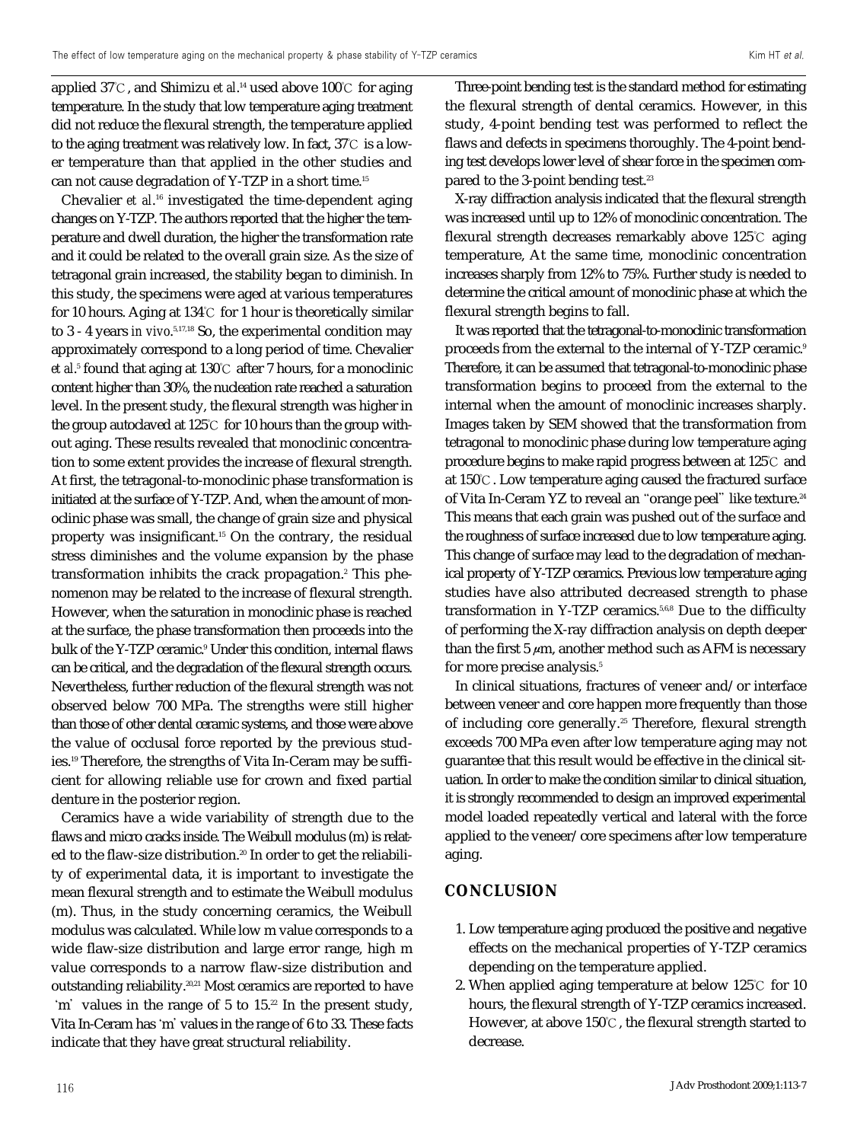applied 37℃, and Shimizu *et al*. <sup>14</sup> used above 100℃ for aging temperature. In the study that low temperature aging treatment did not reduce the flexural strength, the temperature applied to the aging treatment was relatively low. In fact, 37℃ is a lower temperature than that applied in the other studies and can not cause degradation of Y-TZP in a short time.15

Chevalier *et al*. <sup>16</sup> investigated the time-dependent aging changes on Y-TZP. The authors reported that the higher the temperature and dwell duration, the higher the transformation rate and it could be related to the overall grain size. As the size of tetragonal grain increased, the stability began to diminish. In this study, the specimens were aged at various temperatures for 10 hours. Aging at 134℃ for 1 hour is theoretically similar to 3 - 4 years *in vivo*. 5,17,18 So, the experimental condition may approximately correspond to a long period of time. Chevalier *et al.<sup>5</sup>* found that aging at 130℃ after 7 hours, for a monoclinic content higher than 30%, the nucleation rate reached a saturation level. In the present study, the flexural strength was higher in the group autoclaved at 125℃ for 10 hours than the group without aging. These results revealed that monoclinic concentration to some extent provides the increase of flexural strength. At first, the tetragonal-to-monoclinic phase transformation is initiated at the surface of Y-TZP. And, when the amount of monoclinic phase was small, the change of grain size and physical property was insignificant.15 On the contrary, the residual stress diminishes and the volume expansion by the phase transformation inhibits the crack propagation.<sup>2</sup> This phenomenon may be related to the increase of flexural strength. However, when the saturation in monoclinic phase is reached at the surface, the phase transformation then proceeds into the bulk of the Y-TZP ceramic.<sup>9</sup> Under this condition, internal flaws can be critical, and the degradation of the flexural strength occurs. Nevertheless, further reduction of the flexural strength was not observed below 700 MPa. The strengths were still higher than those of other dental ceramic systems, and those were above the value of occlusal force reported by the previous studies.<sup>19</sup> Therefore, the strengths of Vita In-Ceram may be sufficient for allowing reliable use for crown and fixed partial denture in the posterior region.

Ceramics have a wide variability of strength due to the flaws and micro cracks inside. The Weibull modulus (m) is related to the flaw-size distribution.<sup>20</sup> In order to get the reliability of experimental data, it is important to investigate the mean flexural strength and to estimate the Weibull modulus (m). Thus, in the study concerning ceramics, the Weibull modulus was calculated. While low m value corresponds to a wide flaw-size distribution and large error range, high m value corresponds to a narrow flaw-size distribution and outstanding reliability.20,21 Most ceramics are reported to have 'm' values in the range of 5 to 15.<sup>22</sup> In the present study, Vita In-Ceram has'm'values in the range of 6 to 33. These facts indicate that they have great structural reliability.

Three-point bending test is the standard method for estimating the flexural strength of dental ceramics. However, in this study, 4-point bending test was performed to reflect the flaws and defects in specimens thoroughly. The 4-point bending test develops lower level of shear force in the specimen compared to the 3-point bending test.<sup>23</sup>

X-ray diffraction analysis indicated that the flexural strength was increased until up to 12% of monoclinic concentration. The flexural strength decreases remarkably above 125℃ aging temperature, At the same time, monoclinic concentration increases sharply from 12% to 75%. Further study is needed to determine the critical amount of monoclinic phase at which the flexural strength begins to fall.

It was reported that the tetragonal-to-monoclinic transformation proceeds from the external to the internal of Y-TZP ceramic.9 Therefore, it can be assumed that tetragonal-to-monoclinic phase transformation begins to proceed from the external to the internal when the amount of monoclinic increases sharply. Images taken by SEM showed that the transformation from tetragonal to monoclinic phase during low temperature aging procedure begins to make rapid progress between at 125℃ and at 150℃. Low temperature aging caused the fractured surface of Vita In-Ceram YZ to reveal an "orange peel" like texture.<sup>24</sup> This means that each grain was pushed out of the surface and the roughness of surface increased due to low temperature aging. This change of surface may lead to the degradation of mechanical property of Y-TZP ceramics. Previous low temperature aging studies have also attributed decreased strength to phase transformation in Y-TZP ceramics.<sup>5,6,8</sup> Due to the difficulty of performing the X-ray diffraction analysis on depth deeper than the first  $5 \mu m$ , another method such as AFM is necessary for more precise analysis.<sup>5</sup>

In clinical situations, fractures of veneer and/or interface between veneer and core happen more frequently than those of including core generally.<sup>25</sup> Therefore, flexural strength exceeds 700 MPa even after low temperature aging may not guarantee that this result would be effective in the clinical situation. In order to make the condition similar to clinical situation, it is strongly recommended to design an improved experimental model loaded repeatedly vertical and lateral with the force applied to the veneer/core specimens after low temperature aging.

## **CONCLUSION**

- 1. Low temperature aging produced the positive and negative effects on the mechanical properties of Y-TZP ceramics depending on the temperature applied.
- 2. When applied aging temperature at below 125℃ for 10 hours, the flexural strength of Y-TZP ceramics increased. However, at above 150℃, the flexural strength started to decrease.